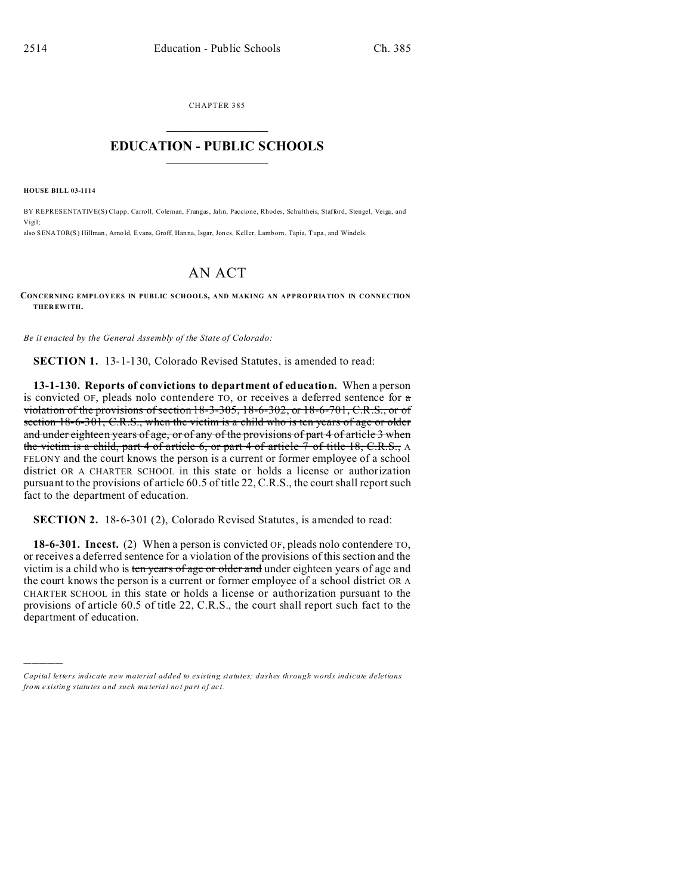CHAPTER 385  $\overline{\phantom{a}}$  , where  $\overline{\phantom{a}}$ 

## **EDUCATION - PUBLIC SCHOOLS**  $\_$   $\_$   $\_$   $\_$   $\_$   $\_$   $\_$   $\_$   $\_$

**HOUSE BILL 03-1114**

)))))

BY REPRESENTATIVE(S) Clapp, Carroll, Coleman, Frangas, Jahn, Paccione, Rhodes, Schultheis, Stafford, Stengel, Veiga, and Vigil; also SENATOR(S) Hillman, Arno ld, Evans, Groff, Hanna, Isgar, Jones, Keller, Lamborn, Tapia, Tupa, and Windels.

## AN ACT

**CONCERNING EMPLOYEES IN PUBLIC SCHOOLS, AND MAKING AN APPROPRIATION IN CONNECTION THER EWITH.**

*Be it enacted by the General Assembly of the State of Colorado:*

**SECTION 1.** 13-1-130, Colorado Revised Statutes, is amended to read:

**13-1-130. Reports of convictions to department of education.** When a person is convicted OF, pleads nolo contendere TO, or receives a deferred sentence for a violation of the provisions of section 18-3-305, 18-6-302, or 18-6-701, C.R.S., or of section  $18-6-301$ , C.R.S., when the victim is a child who is ten years of age or older and under eighteen years of age, or of any of the provisions of part 4 of article 3 when the victim is a child, part 4 of article 6, or part 4 of article  $\overline{7}$  of title 18, C.R.S., A FELONY and the court knows the person is a current or former employee of a school district OR A CHARTER SCHOOL in this state or holds a license or authorization pursuant to the provisions of article 60.5 of title 22, C.R.S., the court shall report such fact to the department of education.

**SECTION 2.** 18-6-301 (2), Colorado Revised Statutes, is amended to read:

**18-6-301. Incest.** (2) When a person is convicted OF, pleads nolo contendere TO, or receives a deferred sentence for a violation of the provisions of this section and the victim is a child who is ten years of age or older and under eighteen years of age and the court knows the person is a current or former employee of a school district OR A CHARTER SCHOOL in this state or holds a license or authorization pursuant to the provisions of article 60.5 of title 22, C.R.S., the court shall report such fact to the department of education.

*Capital letters indicate new material added to existing statutes; dashes through words indicate deletions from e xistin g statu tes a nd such ma teria l no t pa rt of ac t.*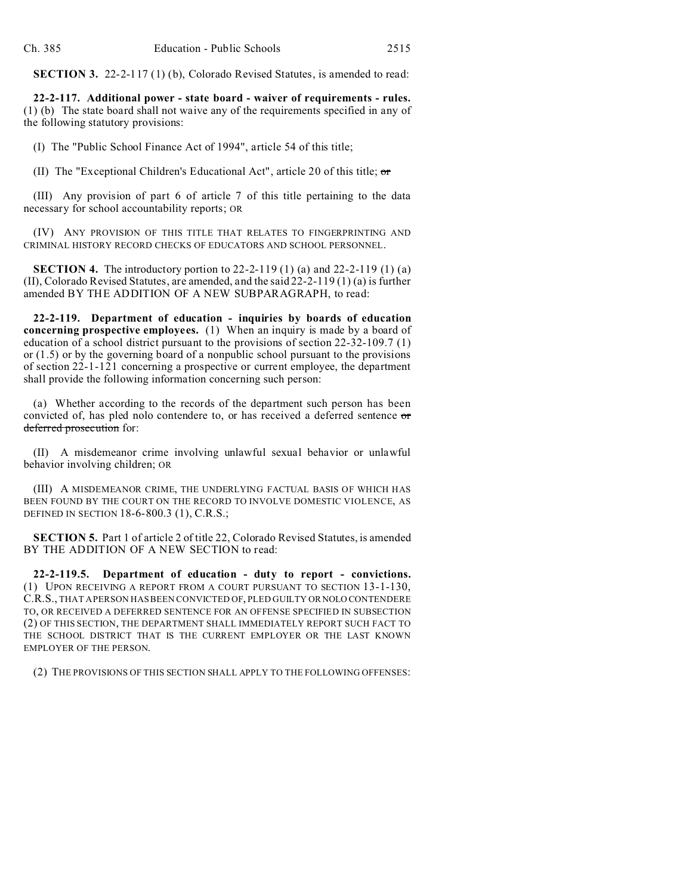**SECTION 3.** 22-2-117 (1) (b), Colorado Revised Statutes, is amended to read:

**22-2-117. Additional power - state board - waiver of requirements - rules.** (1) (b) The state board shall not waive any of the requirements specified in any of the following statutory provisions:

(I) The "Public School Finance Act of 1994", article 54 of this title;

(II) The "Exceptional Children's Educational Act", article 20 of this title;  $\sigma$ 

(III) Any provision of part 6 of article 7 of this title pertaining to the data necessary for school accountability reports; OR

(IV) ANY PROVISION OF THIS TITLE THAT RELATES TO FINGERPRINTING AND CRIMINAL HISTORY RECORD CHECKS OF EDUCATORS AND SCHOOL PERSONNEL.

**SECTION 4.** The introductory portion to 22-2-119 (1) (a) and 22-2-119 (1) (a) (II), Colorado Revised Statutes, are amended, and the said 22-2-119 (1) (a) is further amended BY THE ADDITION OF A NEW SUBPARAGRAPH, to read:

**22-2-119. Department of education - inquiries by boards of education concerning prospective employees.** (1) When an inquiry is made by a board of education of a school district pursuant to the provisions of section 22-32-109.7 (1) or (1.5) or by the governing board of a nonpublic school pursuant to the provisions of section 22-1-121 concerning a prospective or current employee, the department shall provide the following information concerning such person:

(a) Whether according to the records of the department such person has been convicted of, has pled nolo contendere to, or has received a deferred sentence or deferred prosecution for:

(II) A misdemeanor crime involving unlawful sexual behavior or unlawful behavior involving children; OR

(III) A MISDEMEANOR CRIME, THE UNDERLYING FACTUAL BASIS OF WHICH HAS BEEN FOUND BY THE COURT ON THE RECORD TO INVOLVE DOMESTIC VIOLENCE, AS DEFINED IN SECTION 18-6-800.3 (1), C.R.S.;

**SECTION 5.** Part 1 of article 2 of title 22, Colorado Revised Statutes, is amended BY THE ADDITION OF A NEW SECTION to read:

**22-2-119.5. Department of education - duty to report - convictions.** (1) UPON RECEIVING A REPORT FROM A COURT PURSUANT TO SECTION 13-1-130, C.R.S., THAT A PERSON HAS BEEN CONVICTED OF, PLED GUILTY OR NOLO CONTENDERE TO, OR RECEIVED A DEFERRED SENTENCE FOR AN OFFENSE SPECIFIED IN SUBSECTION (2) OF THIS SECTION, THE DEPARTMENT SHALL IMMEDIATELY REPORT SUCH FACT TO THE SCHOOL DISTRICT THAT IS THE CURRENT EMPLOYER OR THE LAST KNOWN EMPLOYER OF THE PERSON.

(2) THE PROVISIONS OF THIS SECTION SHALL APPLY TO THE FOLLOWING OFFENSES: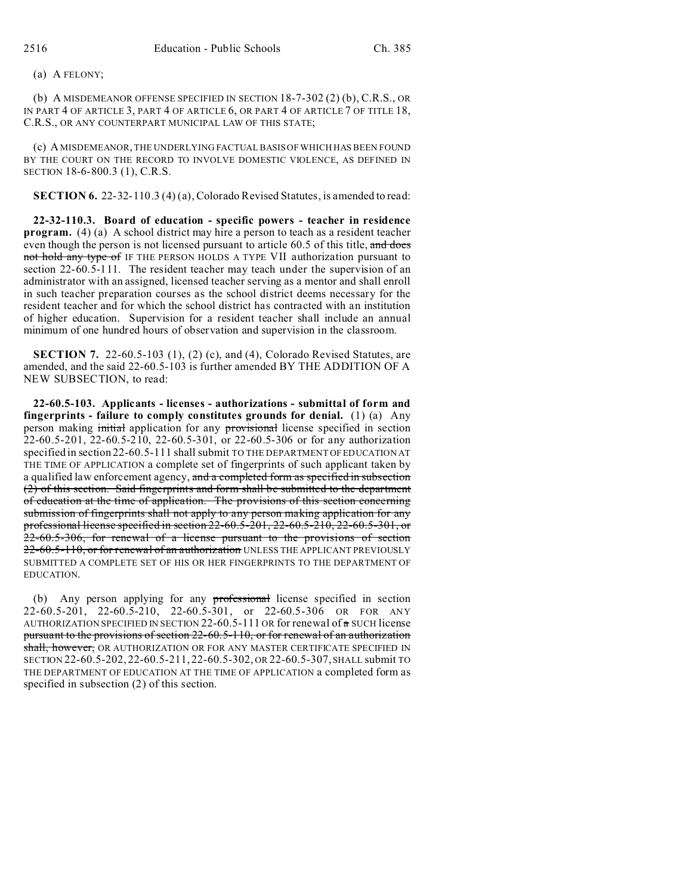## (a) A FELONY;

(b) A MISDEMEANOR OFFENSE SPECIFIED IN SECTION 18-7-302 (2) (b), C.R.S., OR IN PART 4 OF ARTICLE 3, PART 4 OF ARTICLE 6, OR PART 4 OF ARTICLE 7 OF TITLE 18, C.R.S., OR ANY COUNTERPART MUNICIPAL LAW OF THIS STATE;

(c) A MISDEMEANOR, THE UNDERLYING FACTUAL BASIS OF WHICH HAS BEEN FOUND BY THE COURT ON THE RECORD TO INVOLVE DOMESTIC VIOLENCE, AS DEFINED IN SECTION 18-6-800.3 (1), C.R.S.

**SECTION 6.** 22-32-110.3 (4) (a), Colorado Revised Statutes, is amended to read:

**22-32-110.3. Board of education - specific powers - teacher in residence program.** (4) (a) A school district may hire a person to teach as a resident teacher even though the person is not licensed pursuant to article 60.5 of this title, and does not hold any type of IF THE PERSON HOLDS A TYPE VII authorization pursuant to section 22-60.5-111. The resident teacher may teach under the supervision of an administrator with an assigned, licensed teacher serving as a mentor and shall enroll in such teacher preparation courses as the school district deems necessary for the resident teacher and for which the school district has contracted with an institution of higher education. Supervision for a resident teacher shall include an annual minimum of one hundred hours of observation and supervision in the classroom.

**SECTION 7.** 22-60.5-103 (1), (2) (c), and (4), Colorado Revised Statutes, are amended, and the said 22-60.5-103 is further amended BY THE ADDITION OF A NEW SUBSECTION, to read:

**22-60.5-103. Applicants - licenses - authorizations - submittal of form and fingerprints - failure to comply constitutes grounds for denial.** (1) (a) Any person making initial application for any provisional license specified in section 22-60.5-201, 22-60.5-210, 22-60.5-301, or 22-60.5-306 or for any authorization specified in section 22-60.5-111 shall submit TO THE DEPARTMENT OF EDUCATION AT THE TIME OF APPLICATION a complete set of fingerprints of such applicant taken by a qualified law enforcement agency, and a completed form as specified in subsection (2) of this section. Said fingerprints and form shall be submitted to the department of education at the time of application. The provisions of this section concerning submission of fingerprints shall not apply to any person making application for any professional license specified in section 22-60.5-201, 22-60.5-210, 22-60.5-301, or 22-60.5-306, for renewal of a license pursuant to the provisions of section 22-60.5-110, or for renewal of an authorization UNLESS THE APPLICANT PREVIOUSLY SUBMITTED A COMPLETE SET OF HIS OR HER FINGERPRINTS TO THE DEPARTMENT OF EDUCATION.

(b) Any person applying for any professional license specified in section 22-60.5-201, 22-60.5-210, 22-60.5-301, or 22-60.5-306 OR FOR ANY AUTHORIZATION SPECIFIED IN SECTION 22-60.5-111 OR for renewal of  $\pi$  SUCH license pursuant to the provisions of section 22-60.5-110, or for renewal of an authorization shall, however, OR AUTHORIZATION OR FOR ANY MASTER CERTIFICATE SPECIFIED IN SECTION 22-60.5-202, 22-60.5-211, 22-60.5-302, OR 22-60.5-307, SHALL submit TO THE DEPARTMENT OF EDUCATION AT THE TIME OF APPLICATION a completed form as specified in subsection (2) of this section.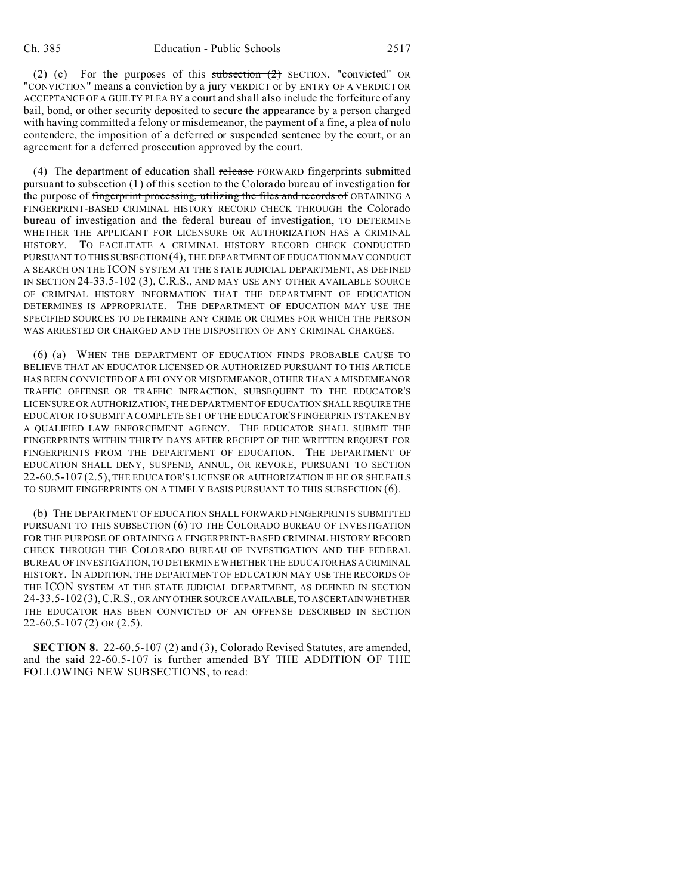(2) (c) For the purposes of this subsection  $(2)$  SECTION, "convicted" OR "CONVICTION" means a conviction by a jury VERDICT or by ENTRY OF A VERDICT OR ACCEPTANCE OF A GUILTY PLEA BY a court and shall also include the forfeiture of any bail, bond, or other security deposited to secure the appearance by a person charged with having committed a felony or misdemeanor, the payment of a fine, a plea of nolo contendere, the imposition of a deferred or suspended sentence by the court, or an agreement for a deferred prosecution approved by the court.

(4) The department of education shall release FORWARD fingerprints submitted pursuant to subsection (1) of this section to the Colorado bureau of investigation for the purpose of fingerprint processing, utilizing the files and records of OBTAINING A FINGERPRINT-BASED CRIMINAL HISTORY RECORD CHECK THROUGH the Colorado bureau of investigation and the federal bureau of investigation, TO DETERMINE WHETHER THE APPLICANT FOR LICENSURE OR AUTHORIZATION HAS A CRIMINAL HISTORY. TO FACILITATE A CRIMINAL HISTORY RECORD CHECK CONDUCTED PURSUANT TO THIS SUBSECTION (4), THE DEPARTMENT OF EDUCATION MAY CONDUCT A SEARCH ON THE ICON SYSTEM AT THE STATE JUDICIAL DEPARTMENT, AS DEFINED IN SECTION 24-33.5-102 (3), C.R.S., AND MAY USE ANY OTHER AVAILABLE SOURCE OF CRIMINAL HISTORY INFORMATION THAT THE DEPARTMENT OF EDUCATION DETERMINES IS APPROPRIATE. THE DEPARTMENT OF EDUCATION MAY USE THE SPECIFIED SOURCES TO DETERMINE ANY CRIME OR CRIMES FOR WHICH THE PERSON WAS ARRESTED OR CHARGED AND THE DISPOSITION OF ANY CRIMINAL CHARGES.

(6) (a) WHEN THE DEPARTMENT OF EDUCATION FINDS PROBABLE CAUSE TO BELIEVE THAT AN EDUCATOR LICENSED OR AUTHORIZED PURSUANT TO THIS ARTICLE HAS BEEN CONVICTED OF A FELONY OR MISDEMEANOR, OTHER THAN A MISDEMEANOR TRAFFIC OFFENSE OR TRAFFIC INFRACTION, SUBSEQUENT TO THE EDUCATOR'S LICENSURE OR AUTHORIZATION, THE DEPARTMENT OF EDUCATION SHALLREQUIRE THE EDUCATOR TO SUBMIT A COMPLETE SET OF THE EDUCATOR'S FINGERPRINTS TAKEN BY A QUALIFIED LAW ENFORCEMENT AGENCY. THE EDUCATOR SHALL SUBMIT THE FINGERPRINTS WITHIN THIRTY DAYS AFTER RECEIPT OF THE WRITTEN REQUEST FOR FINGERPRINTS FROM THE DEPARTMENT OF EDUCATION. THE DEPARTMENT OF EDUCATION SHALL DENY, SUSPEND, ANNUL, OR REVOKE, PURSUANT TO SECTION 22-60.5-107 (2.5), THE EDUCATOR'S LICENSE OR AUTHORIZATION IF HE OR SHE FAILS TO SUBMIT FINGERPRINTS ON A TIMELY BASIS PURSUANT TO THIS SUBSECTION (6).

(b) THE DEPARTMENT OF EDUCATION SHALL FORWARD FINGERPRINTS SUBMITTED PURSUANT TO THIS SUBSECTION (6) TO THE COLORADO BUREAU OF INVESTIGATION FOR THE PURPOSE OF OBTAINING A FINGERPRINT-BASED CRIMINAL HISTORY RECORD CHECK THROUGH THE COLORADO BUREAU OF INVESTIGATION AND THE FEDERAL BUREAU OF INVESTIGATION, TO DETERMINE WHETHER THE EDUCATOR HAS ACRIMINAL HISTORY. IN ADDITION, THE DEPARTMENT OF EDUCATION MAY USE THE RECORDS OF THE ICON SYSTEM AT THE STATE JUDICIAL DEPARTMENT, AS DEFINED IN SECTION 24-33.5-102 (3),C.R.S., OR ANYOTHERSOURCE AVAILABLE, TO ASCERTAIN WHETHER THE EDUCATOR HAS BEEN CONVICTED OF AN OFFENSE DESCRIBED IN SECTION 22-60.5-107 (2) OR (2.5).

**SECTION 8.** 22-60.5-107 (2) and (3), Colorado Revised Statutes, are amended, and the said 22-60.5-107 is further amended BY THE ADDITION OF THE FOLLOWING NEW SUBSECTIONS, to read: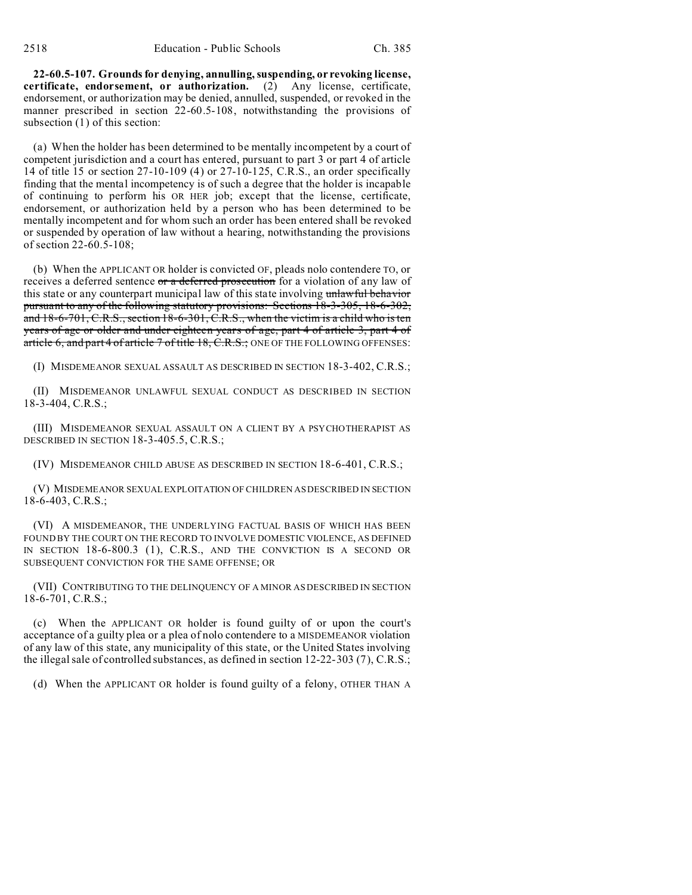**22-60.5-107. Grounds for denying, annulling, suspending, or revoking license, certificate, endorsement, or authorization.** (2) Any license, certificate, endorsement, or authorization may be denied, annulled, suspended, or revoked in the manner prescribed in section 22-60.5-108, notwithstanding the provisions of subsection (1) of this section:

(a) When the holder has been determined to be mentally incompetent by a court of competent jurisdiction and a court has entered, pursuant to part 3 or part 4 of article 14 of title 15 or section 27-10-109 (4) or 27-10-125, C.R.S., an order specifically finding that the mental incompetency is of such a degree that the holder is incapable of continuing to perform his OR HER job; except that the license, certificate, endorsement, or authorization held by a person who has been determined to be mentally incompetent and for whom such an order has been entered shall be revoked or suspended by operation of law without a hearing, notwithstanding the provisions of section 22-60.5-108;

(b) When the APPLICANT OR holder is convicted OF, pleads nolo contendere TO, or receives a deferred sentence or a deferred prosecution for a violation of any law of this state or any counterpart municipal law of this state involving unlawful behavior pursuant to any of the following statutory provisions: Sections 18-3-305, 18-6-302, and 18-6-701, C.R.S., section 18-6-301, C.R.S., when the victim is a child who is ten years of age or older and under eighteen years of age, part 4 of article 3, part 4 of article 6, and part 4 of article 7 of title 18, C.R.S.; ONE OF THE FOLLOWING OFFENSES:

(I) MISDEMEANOR SEXUAL ASSAULT AS DESCRIBED IN SECTION 18-3-402, C.R.S.;

(II) MISDEMEANOR UNLAWFUL SEXUAL CONDUCT AS DESCRIBED IN SECTION 18-3-404, C.R.S.;

(III) MISDEMEANOR SEXUAL ASSAULT ON A CLIENT BY A PSYCHOTHERAPIST AS DESCRIBED IN SECTION 18-3-405.5, C.R.S.;

(IV) MISDEMEANOR CHILD ABUSE AS DESCRIBED IN SECTION 18-6-401, C.R.S.;

(V) MISDEMEANOR SEXUAL EXPLOITATION OF CHILDREN AS DESCRIBED IN SECTION 18-6-403, C.R.S.;

(VI) A MISDEMEANOR, THE UNDERLYING FACTUAL BASIS OF WHICH HAS BEEN FOUND BY THE COURT ON THE RECORD TO INVOLVE DOMESTIC VIOLENCE, AS DEFINED IN SECTION 18-6-800.3 (1), C.R.S., AND THE CONVICTION IS A SECOND OR SUBSEQUENT CONVICTION FOR THE SAME OFFENSE; OR

(VII) CONTRIBUTING TO THE DELINQUENCY OF A MINOR AS DESCRIBED IN SECTION 18-6-701, C.R.S.;

(c) When the APPLICANT OR holder is found guilty of or upon the court's acceptance of a guilty plea or a plea of nolo contendere to a MISDEMEANOR violation of any law of this state, any municipality of this state, or the United States involving the illegal sale of controlled substances, as defined in section 12-22-303 (7), C.R.S.;

(d) When the APPLICANT OR holder is found guilty of a felony, OTHER THAN A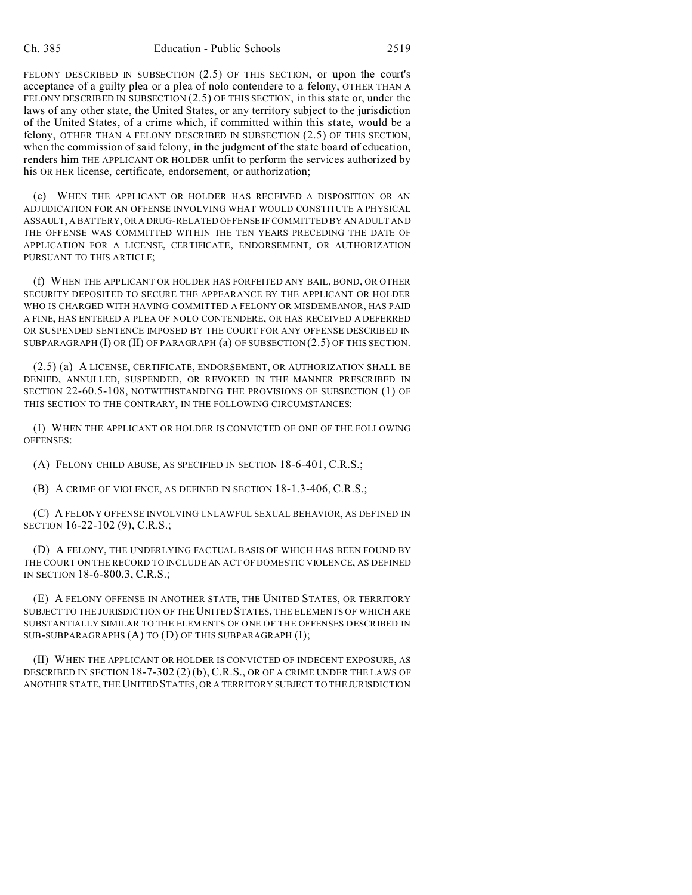FELONY DESCRIBED IN SUBSECTION (2.5) OF THIS SECTION, or upon the court's acceptance of a guilty plea or a plea of nolo contendere to a felony, OTHER THAN A FELONY DESCRIBED IN SUBSECTION (2.5) OF THIS SECTION, in this state or, under the laws of any other state, the United States, or any territory subject to the jurisdiction of the United States, of a crime which, if committed within this state, would be a felony, OTHER THAN A FELONY DESCRIBED IN SUBSECTION (2.5) OF THIS SECTION, when the commission of said felony, in the judgment of the state board of education, renders him THE APPLICANT OR HOLDER unfit to perform the services authorized by his OR HER license, certificate, endorsement, or authorization;

(e) WHEN THE APPLICANT OR HOLDER HAS RECEIVED A DISPOSITION OR AN ADJUDICATION FOR AN OFFENSE INVOLVING WHAT WOULD CONSTITUTE A PHYSICAL ASSAULT, A BATTERY, OR A DRUG-RELATED OFFENSE IF COMMITTED BY AN ADULT AND THE OFFENSE WAS COMMITTED WITHIN THE TEN YEARS PRECEDING THE DATE OF APPLICATION FOR A LICENSE, CERTIFICATE, ENDORSEMENT, OR AUTHORIZATION PURSUANT TO THIS ARTICLE;

(f) WHEN THE APPLICANT OR HOLDER HAS FORFEITED ANY BAIL, BOND, OR OTHER SECURITY DEPOSITED TO SECURE THE APPEARANCE BY THE APPLICANT OR HOLDER WHO IS CHARGED WITH HAVING COMMITTED A FELONY OR MISDEMEANOR, HAS PAID A FINE, HAS ENTERED A PLEA OF NOLO CONTENDERE, OR HAS RECEIVED A DEFERRED OR SUSPENDED SENTENCE IMPOSED BY THE COURT FOR ANY OFFENSE DESCRIBED IN SUBPARAGRAPH (I) OR (II) OF PARAGRAPH (a) OF SUBSECTION (2.5) OF THIS SECTION.

(2.5) (a) A LICENSE, CERTIFICATE, ENDORSEMENT, OR AUTHORIZATION SHALL BE DENIED, ANNULLED, SUSPENDED, OR REVOKED IN THE MANNER PRESCRIBED IN SECTION 22-60.5-108, NOTWITHSTANDING THE PROVISIONS OF SUBSECTION (1) OF THIS SECTION TO THE CONTRARY, IN THE FOLLOWING CIRCUMSTANCES:

(I) WHEN THE APPLICANT OR HOLDER IS CONVICTED OF ONE OF THE FOLLOWING OFFENSES:

(A) FELONY CHILD ABUSE, AS SPECIFIED IN SECTION 18-6-401, C.R.S.;

(B) A CRIME OF VIOLENCE, AS DEFINED IN SECTION 18-1.3-406, C.R.S.;

(C) A FELONY OFFENSE INVOLVING UNLAWFUL SEXUAL BEHAVIOR, AS DEFINED IN SECTION 16-22-102 (9), C.R.S.;

(D) A FELONY, THE UNDERLYING FACTUAL BASIS OF WHICH HAS BEEN FOUND BY THE COURT ON THE RECORD TO INCLUDE AN ACT OF DOMESTIC VIOLENCE, AS DEFINED IN SECTION 18-6-800.3, C.R.S.;

(E) A FELONY OFFENSE IN ANOTHER STATE, THE UNITED STATES, OR TERRITORY SUBJECT TO THE JURISDICTION OF THE UNITED STATES, THE ELEMENTS OF WHICH ARE SUBSTANTIALLY SIMILAR TO THE ELEMENTS OF ONE OF THE OFFENSES DESCRIBED IN SUB-SUBPARAGRAPHS (A) TO (D) OF THIS SUBPARAGRAPH (I);

(II) WHEN THE APPLICANT OR HOLDER IS CONVICTED OF INDECENT EXPOSURE, AS DESCRIBED IN SECTION 18-7-302 (2) (b), C.R.S., OR OF A CRIME UNDER THE LAWS OF ANOTHER STATE, THE UNITED STATES, OR A TERRITORY SUBJECT TO THE JURISDICTION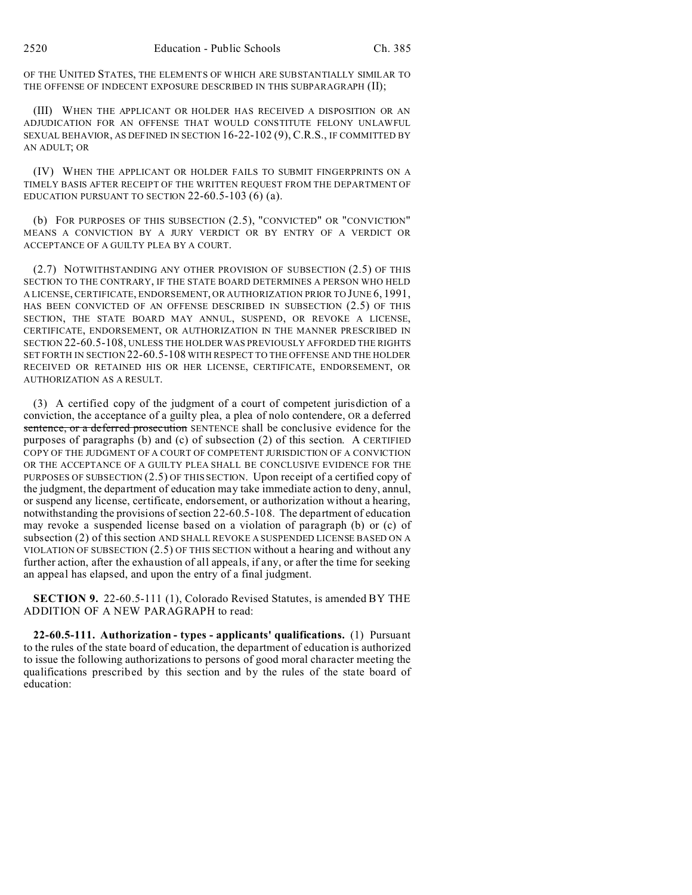OF THE UNITED STATES, THE ELEMENTS OF WHICH ARE SUBSTANTIALLY SIMILAR TO THE OFFENSE OF INDECENT EXPOSURE DESCRIBED IN THIS SUBPARAGRAPH (II);

(III) WHEN THE APPLICANT OR HOLDER HAS RECEIVED A DISPOSITION OR AN ADJUDICATION FOR AN OFFENSE THAT WOULD CONSTITUTE FELONY UNLAWFUL SEXUAL BEHAVIOR, AS DEFINED IN SECTION 16-22-102 (9), C.R.S., IF COMMITTED BY AN ADULT; OR

(IV) WHEN THE APPLICANT OR HOLDER FAILS TO SUBMIT FINGERPRINTS ON A TIMELY BASIS AFTER RECEIPT OF THE WRITTEN REQUEST FROM THE DEPARTMENT OF EDUCATION PURSUANT TO SECTION  $22-60.5-103(6)(a)$ .

(b) FOR PURPOSES OF THIS SUBSECTION (2.5), "CONVICTED" OR "CONVICTION" MEANS A CONVICTION BY A JURY VERDICT OR BY ENTRY OF A VERDICT OR ACCEPTANCE OF A GUILTY PLEA BY A COURT.

(2.7) NOTWITHSTANDING ANY OTHER PROVISION OF SUBSECTION (2.5) OF THIS SECTION TO THE CONTRARY, IF THE STATE BOARD DETERMINES A PERSON WHO HELD A LICENSE, CERTIFICATE, ENDORSEMENT, OR AUTHORIZATION PRIOR TO JUNE 6, 1991, HAS BEEN CONVICTED OF AN OFFENSE DESCRIBED IN SUBSECTION (2.5) OF THIS SECTION, THE STATE BOARD MAY ANNUL, SUSPEND, OR REVOKE A LICENSE, CERTIFICATE, ENDORSEMENT, OR AUTHORIZATION IN THE MANNER PRESCRIBED IN SECTION 22-60.5-108, UNLESS THE HOLDER WAS PREVIOUSLY AFFORDED THE RIGHTS SET FORTH IN SECTION 22-60.5-108 WITH RESPECT TO THE OFFENSE AND THE HOLDER RECEIVED OR RETAINED HIS OR HER LICENSE, CERTIFICATE, ENDORSEMENT, OR AUTHORIZATION AS A RESULT.

(3) A certified copy of the judgment of a court of competent jurisdiction of a conviction, the acceptance of a guilty plea, a plea of nolo contendere, OR a deferred sentence, or a deferred prosecution SENTENCE shall be conclusive evidence for the purposes of paragraphs (b) and (c) of subsection (2) of this section. A CERTIFIED COPY OF THE JUDGMENT OF A COURT OF COMPETENT JURISDICTION OF A CONVICTION OR THE ACCEPTANCE OF A GUILTY PLEA SHALL BE CONCLUSIVE EVIDENCE FOR THE PURPOSES OF SUBSECTION (2.5) OF THIS SECTION. Upon receipt of a certified copy of the judgment, the department of education may take immediate action to deny, annul, or suspend any license, certificate, endorsement, or authorization without a hearing, notwithstanding the provisions of section 22-60.5-108. The department of education may revoke a suspended license based on a violation of paragraph (b) or (c) of subsection (2) of this section AND SHALL REVOKE A SUSPENDED LICENSE BASED ON A VIOLATION OF SUBSECTION (2.5) OF THIS SECTION without a hearing and without any further action, after the exhaustion of all appeals, if any, or after the time for seeking an appeal has elapsed, and upon the entry of a final judgment.

**SECTION 9.** 22-60.5-111 (1), Colorado Revised Statutes, is amended BY THE ADDITION OF A NEW PARAGRAPH to read:

**22-60.5-111. Authorization - types - applicants' qualifications.** (1) Pursuant to the rules of the state board of education, the department of education is authorized to issue the following authorizations to persons of good moral character meeting the qualifications prescribed by this section and by the rules of the state board of education: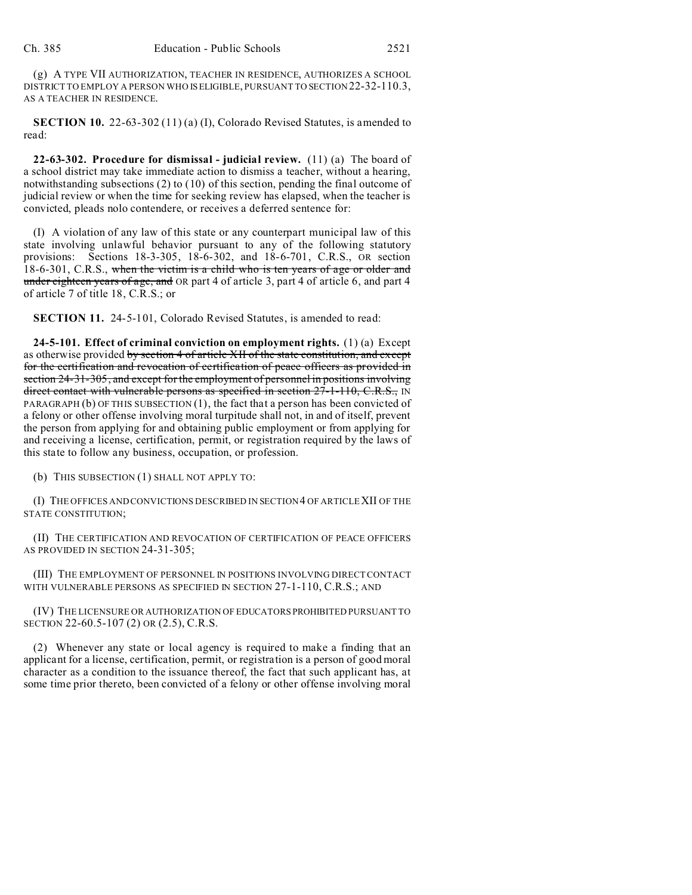(g) A TYPE VII AUTHORIZATION, TEACHER IN RESIDENCE, AUTHORIZES A SCHOOL DISTRICT TO EMPLOY A PERSON WHO ISELIGIBLE, PURSUANT TO SECTION 22-32-110.3, AS A TEACHER IN RESIDENCE.

**SECTION 10.** 22-63-302 (11) (a) (I), Colorado Revised Statutes, is amended to read:

**22-63-302. Procedure for dismissal - judicial review.** (11) (a) The board of a school district may take immediate action to dismiss a teacher, without a hearing, notwithstanding subsections (2) to (10) of this section, pending the final outcome of judicial review or when the time for seeking review has elapsed, when the teacher is convicted, pleads nolo contendere, or receives a deferred sentence for:

(I) A violation of any law of this state or any counterpart municipal law of this state involving unlawful behavior pursuant to any of the following statutory provisions: Sections 18-3-305, 18-6-302, and 18-6-701, C.R.S., OR section  $18-6-301$ , C.R.S., when the victim is a child who is ten years of age or older and under eighteen years of age, and OR part 4 of article 3, part 4 of article 6, and part 4 of article 7 of title 18, C.R.S.; or

**SECTION 11.** 24-5-101, Colorado Revised Statutes, is amended to read:

**24-5-101. Effect of criminal conviction on employment rights.** (1) (a) Except as otherwise provided by section 4 of article XII of the state constitution, and except for the certification and revocation of certification of peace officers as provided in section 24-31-305, and except for the employment of personnel in positions involving direct contact with vulnerable persons as specified in section  $27-1-110$ , C.R.S., IN PARAGRAPH (b) OF THIS SUBSECTION (1), the fact that a person has been convicted of a felony or other offense involving moral turpitude shall not, in and of itself, prevent the person from applying for and obtaining public employment or from applying for and receiving a license, certification, permit, or registration required by the laws of this state to follow any business, occupation, or profession.

(b) THIS SUBSECTION (1) SHALL NOT APPLY TO:

(I) THE OFFICES AND CONVICTIONS DESCRIBED IN SECTION 4 OF ARTICLEXII OF THE STATE CONSTITUTION;

(II) THE CERTIFICATION AND REVOCATION OF CERTIFICATION OF PEACE OFFICERS AS PROVIDED IN SECTION 24-31-305;

(III) THE EMPLOYMENT OF PERSONNEL IN POSITIONS INVOLVING DIRECT CONTACT WITH VULNERABLE PERSONS AS SPECIFIED IN SECTION 27-1-110, C.R.S.; AND

(IV) THE LICENSURE OR AUTHORIZATION OF EDUCATORS PROHIBITED PURSUANT TO SECTION 22-60.5-107 (2) OR (2.5), C.R.S.

(2) Whenever any state or local agency is required to make a finding that an applicant for a license, certification, permit, or registration is a person of good moral character as a condition to the issuance thereof, the fact that such applicant has, at some time prior thereto, been convicted of a felony or other offense involving moral